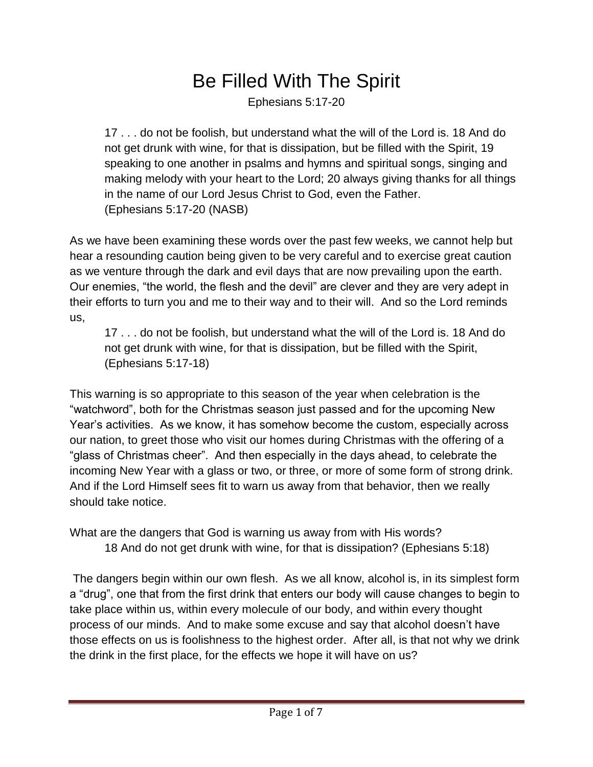## Be Filled With The Spirit

Ephesians 5:17-20

17 . . . do not be foolish, but understand what the will of the Lord is. 18 And do not get drunk with wine, for that is dissipation, but be filled with the Spirit, 19 speaking to one another in psalms and hymns and spiritual songs, singing and making melody with your heart to the Lord; 20 always giving thanks for all things in the name of our Lord Jesus Christ to God, even the Father. (Ephesians 5:17-20 (NASB)

As we have been examining these words over the past few weeks, we cannot help but hear a resounding caution being given to be very careful and to exercise great caution as we venture through the dark and evil days that are now prevailing upon the earth. Our enemies, "the world, the flesh and the devil" are clever and they are very adept in their efforts to turn you and me to their way and to their will. And so the Lord reminds us,

17 . . . do not be foolish, but understand what the will of the Lord is. 18 And do not get drunk with wine, for that is dissipation, but be filled with the Spirit, (Ephesians 5:17-18)

This warning is so appropriate to this season of the year when celebration is the "watchword", both for the Christmas season just passed and for the upcoming New Year's activities. As we know, it has somehow become the custom, especially across our nation, to greet those who visit our homes during Christmas with the offering of a "glass of Christmas cheer". And then especially in the days ahead, to celebrate the incoming New Year with a glass or two, or three, or more of some form of strong drink. And if the Lord Himself sees fit to warn us away from that behavior, then we really should take notice.

What are the dangers that God is warning us away from with His words?

18 And do not get drunk with wine, for that is dissipation? (Ephesians 5:18)

The dangers begin within our own flesh. As we all know, alcohol is, in its simplest form a "drug", one that from the first drink that enters our body will cause changes to begin to take place within us, within every molecule of our body, and within every thought process of our minds. And to make some excuse and say that alcohol doesn't have those effects on us is foolishness to the highest order. After all, is that not why we drink the drink in the first place, for the effects we hope it will have on us?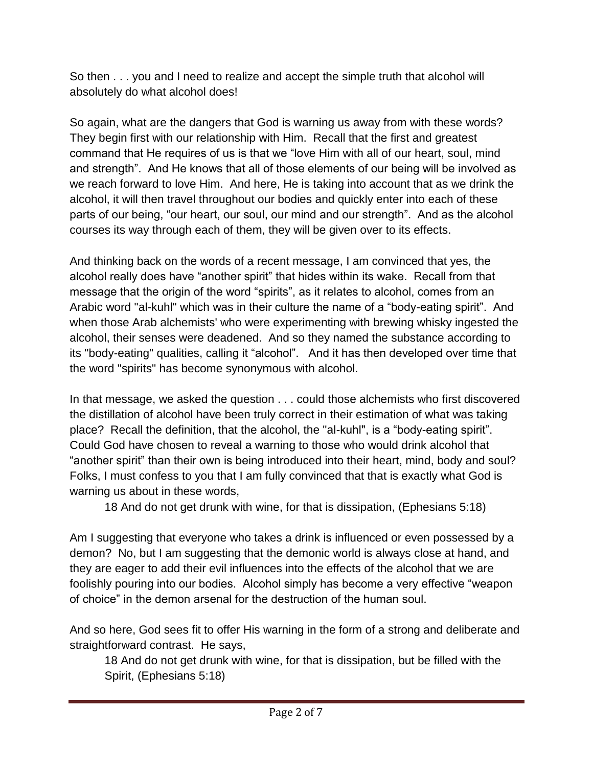So then . . . you and I need to realize and accept the simple truth that alcohol will absolutely do what alcohol does!

So again, what are the dangers that God is warning us away from with these words? They begin first with our relationship with Him. Recall that the first and greatest command that He requires of us is that we "love Him with all of our heart, soul, mind and strength". And He knows that all of those elements of our being will be involved as we reach forward to love Him. And here, He is taking into account that as we drink the alcohol, it will then travel throughout our bodies and quickly enter into each of these parts of our being, "our heart, our soul, our mind and our strength". And as the alcohol courses its way through each of them, they will be given over to its effects.

And thinking back on the words of a recent message, I am convinced that yes, the alcohol really does have "another spirit" that hides within its wake. Recall from that message that the origin of the word "spirits", as it relates to alcohol, comes from an Arabic word "al-kuhl" which was in their culture the name of a "body-eating spirit". And when those Arab alchemists' who were experimenting with brewing whisky ingested the alcohol, their senses were deadened. And so they named the substance according to its "body-eating" qualities, calling it "alcohol". And it has then developed over time that the word "spirits" has become synonymous with alcohol.

In that message, we asked the question . . . could those alchemists who first discovered the distillation of alcohol have been truly correct in their estimation of what was taking place? Recall the definition, that the alcohol, the "al-kuhl", is a "body-eating spirit". Could God have chosen to reveal a warning to those who would drink alcohol that "another spirit" than their own is being introduced into their heart, mind, body and soul? Folks, I must confess to you that I am fully convinced that that is exactly what God is warning us about in these words,

18 And do not get drunk with wine, for that is dissipation, (Ephesians 5:18)

Am I suggesting that everyone who takes a drink is influenced or even possessed by a demon? No, but I am suggesting that the demonic world is always close at hand, and they are eager to add their evil influences into the effects of the alcohol that we are foolishly pouring into our bodies. Alcohol simply has become a very effective "weapon of choice" in the demon arsenal for the destruction of the human soul.

And so here, God sees fit to offer His warning in the form of a strong and deliberate and straightforward contrast. He says,

18 And do not get drunk with wine, for that is dissipation, but be filled with the Spirit, (Ephesians 5:18)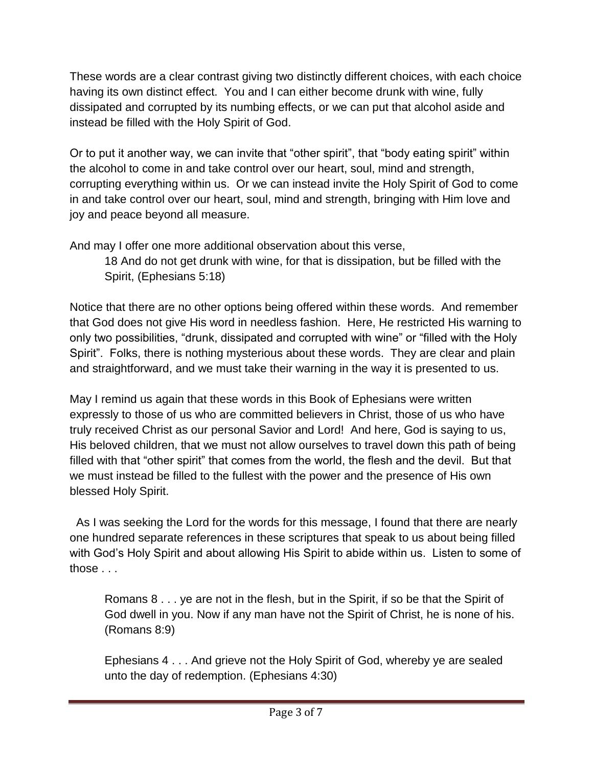These words are a clear contrast giving two distinctly different choices, with each choice having its own distinct effect. You and I can either become drunk with wine, fully dissipated and corrupted by its numbing effects, or we can put that alcohol aside and instead be filled with the Holy Spirit of God.

Or to put it another way, we can invite that "other spirit", that "body eating spirit" within the alcohol to come in and take control over our heart, soul, mind and strength, corrupting everything within us. Or we can instead invite the Holy Spirit of God to come in and take control over our heart, soul, mind and strength, bringing with Him love and joy and peace beyond all measure.

And may I offer one more additional observation about this verse,

18 And do not get drunk with wine, for that is dissipation, but be filled with the Spirit, (Ephesians 5:18)

Notice that there are no other options being offered within these words. And remember that God does not give His word in needless fashion. Here, He restricted His warning to only two possibilities, "drunk, dissipated and corrupted with wine" or "filled with the Holy Spirit". Folks, there is nothing mysterious about these words. They are clear and plain and straightforward, and we must take their warning in the way it is presented to us.

May I remind us again that these words in this Book of Ephesians were written expressly to those of us who are committed believers in Christ, those of us who have truly received Christ as our personal Savior and Lord! And here, God is saying to us, His beloved children, that we must not allow ourselves to travel down this path of being filled with that "other spirit" that comes from the world, the flesh and the devil. But that we must instead be filled to the fullest with the power and the presence of His own blessed Holy Spirit.

 As I was seeking the Lord for the words for this message, I found that there are nearly one hundred separate references in these scriptures that speak to us about being filled with God's Holy Spirit and about allowing His Spirit to abide within us. Listen to some of those . . .

Romans 8 . . . ye are not in the flesh, but in the Spirit, if so be that the Spirit of God dwell in you. Now if any man have not the Spirit of Christ, he is none of his. (Romans 8:9)

Ephesians 4 . . . And grieve not the Holy Spirit of God, whereby ye are sealed unto the day of redemption. (Ephesians 4:30)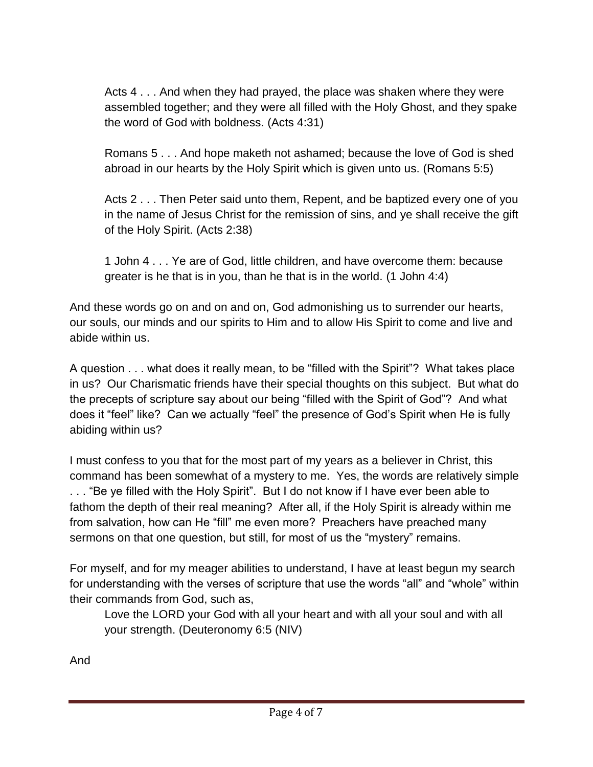Acts 4 . . . And when they had prayed, the place was shaken where they were assembled together; and they were all filled with the Holy Ghost, and they spake the word of God with boldness. (Acts 4:31)

Romans 5 . . . And hope maketh not ashamed; because the love of God is shed abroad in our hearts by the Holy Spirit which is given unto us. (Romans 5:5)

Acts 2 . . . Then Peter said unto them, Repent, and be baptized every one of you in the name of Jesus Christ for the remission of sins, and ye shall receive the gift of the Holy Spirit. (Acts 2:38)

1 John 4 . . . Ye are of God, little children, and have overcome them: because greater is he that is in you, than he that is in the world. (1 John 4:4)

And these words go on and on and on, God admonishing us to surrender our hearts, our souls, our minds and our spirits to Him and to allow His Spirit to come and live and abide within us.

A question . . . what does it really mean, to be "filled with the Spirit"? What takes place in us? Our Charismatic friends have their special thoughts on this subject. But what do the precepts of scripture say about our being "filled with the Spirit of God"? And what does it "feel" like? Can we actually "feel" the presence of God's Spirit when He is fully abiding within us?

I must confess to you that for the most part of my years as a believer in Christ, this command has been somewhat of a mystery to me. Yes, the words are relatively simple . . . "Be ye filled with the Holy Spirit". But I do not know if I have ever been able to fathom the depth of their real meaning? After all, if the Holy Spirit is already within me from salvation, how can He "fill" me even more? Preachers have preached many sermons on that one question, but still, for most of us the "mystery" remains.

For myself, and for my meager abilities to understand, I have at least begun my search for understanding with the verses of scripture that use the words "all" and "whole" within their commands from God, such as,

Love the LORD your God with all your heart and with all your soul and with all your strength. (Deuteronomy 6:5 (NIV)

And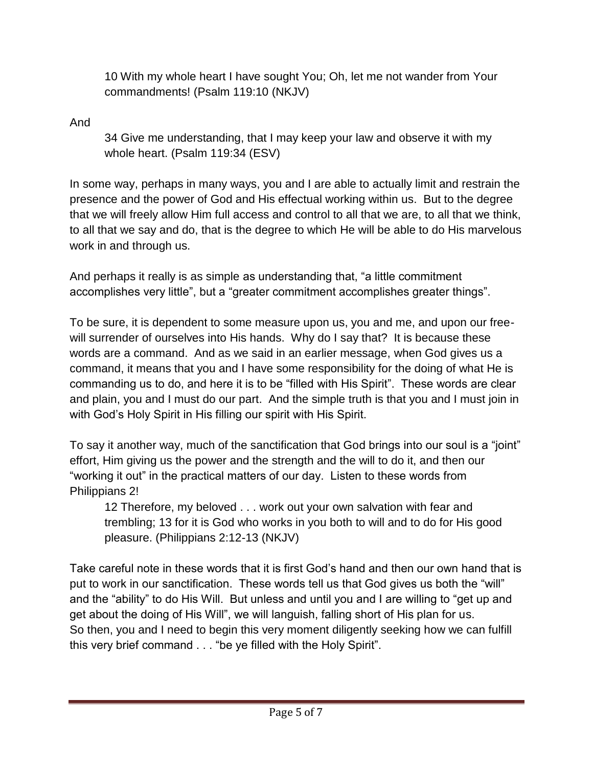10 With my whole heart I have sought You; Oh, let me not wander from Your commandments! (Psalm 119:10 (NKJV)

And

34 Give me understanding, that I may keep your law and observe it with my whole heart. (Psalm 119:34 (ESV)

In some way, perhaps in many ways, you and I are able to actually limit and restrain the presence and the power of God and His effectual working within us. But to the degree that we will freely allow Him full access and control to all that we are, to all that we think, to all that we say and do, that is the degree to which He will be able to do His marvelous work in and through us.

And perhaps it really is as simple as understanding that, "a little commitment accomplishes very little", but a "greater commitment accomplishes greater things".

To be sure, it is dependent to some measure upon us, you and me, and upon our freewill surrender of ourselves into His hands. Why do I say that? It is because these words are a command. And as we said in an earlier message, when God gives us a command, it means that you and I have some responsibility for the doing of what He is commanding us to do, and here it is to be "filled with His Spirit". These words are clear and plain, you and I must do our part. And the simple truth is that you and I must join in with God's Holy Spirit in His filling our spirit with His Spirit.

To say it another way, much of the sanctification that God brings into our soul is a "joint" effort, Him giving us the power and the strength and the will to do it, and then our "working it out" in the practical matters of our day. Listen to these words from Philippians 2!

12 Therefore, my beloved . . . work out your own salvation with fear and trembling; 13 for it is God who works in you both to will and to do for His good pleasure. (Philippians 2:12-13 (NKJV)

Take careful note in these words that it is first God's hand and then our own hand that is put to work in our sanctification. These words tell us that God gives us both the "will" and the "ability" to do His Will. But unless and until you and I are willing to "get up and get about the doing of His Will", we will languish, falling short of His plan for us. So then, you and I need to begin this very moment diligently seeking how we can fulfill this very brief command . . . "be ye filled with the Holy Spirit".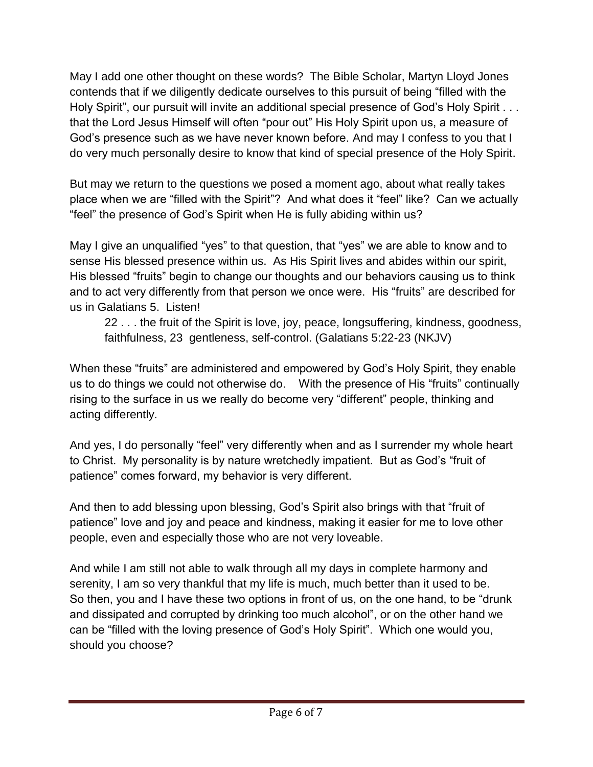May I add one other thought on these words? The Bible Scholar, Martyn Lloyd Jones contends that if we diligently dedicate ourselves to this pursuit of being "filled with the Holy Spirit", our pursuit will invite an additional special presence of God's Holy Spirit . . . that the Lord Jesus Himself will often "pour out" His Holy Spirit upon us, a measure of God's presence such as we have never known before. And may I confess to you that I do very much personally desire to know that kind of special presence of the Holy Spirit.

But may we return to the questions we posed a moment ago, about what really takes place when we are "filled with the Spirit"? And what does it "feel" like? Can we actually "feel" the presence of God's Spirit when He is fully abiding within us?

May I give an unqualified "yes" to that question, that "yes" we are able to know and to sense His blessed presence within us. As His Spirit lives and abides within our spirit, His blessed "fruits" begin to change our thoughts and our behaviors causing us to think and to act very differently from that person we once were. His "fruits" are described for us in Galatians 5. Listen!

22 . . . the fruit of the Spirit is love, joy, peace, longsuffering, kindness, goodness, faithfulness, 23 gentleness, self-control. (Galatians 5:22-23 (NKJV)

When these "fruits" are administered and empowered by God's Holy Spirit, they enable us to do things we could not otherwise do. With the presence of His "fruits" continually rising to the surface in us we really do become very "different" people, thinking and acting differently.

And yes, I do personally "feel" very differently when and as I surrender my whole heart to Christ. My personality is by nature wretchedly impatient. But as God's "fruit of patience" comes forward, my behavior is very different.

And then to add blessing upon blessing, God's Spirit also brings with that "fruit of patience" love and joy and peace and kindness, making it easier for me to love other people, even and especially those who are not very loveable.

And while I am still not able to walk through all my days in complete harmony and serenity, I am so very thankful that my life is much, much better than it used to be. So then, you and I have these two options in front of us, on the one hand, to be "drunk and dissipated and corrupted by drinking too much alcohol", or on the other hand we can be "filled with the loving presence of God's Holy Spirit". Which one would you, should you choose?